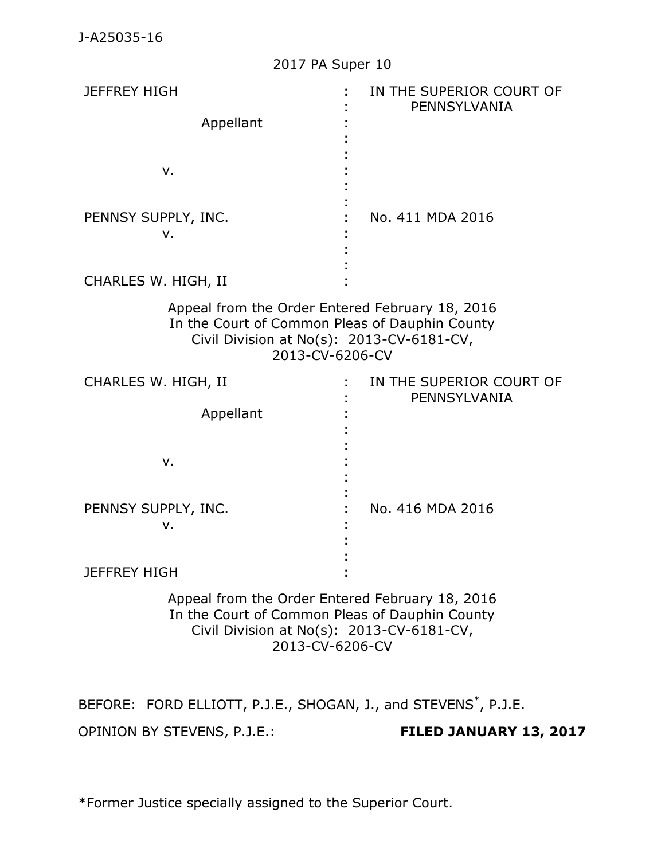J-A25035-16

| 2017 PA Super 10                                                                                                                                                  |                                          |
|-------------------------------------------------------------------------------------------------------------------------------------------------------------------|------------------------------------------|
| <b>JEFFREY HIGH</b><br>Appellant<br>v.                                                                                                                            | IN THE SUPERIOR COURT OF<br>PENNSYLVANIA |
| PENNSY SUPPLY, INC.<br>ν.                                                                                                                                         | No. 411 MDA 2016                         |
| CHARLES W. HIGH, II                                                                                                                                               |                                          |
| Appeal from the Order Entered February 18, 2016<br>In the Court of Common Pleas of Dauphin County<br>Civil Division at No(s): 2013-CV-6181-CV,<br>2013-CV-6206-CV |                                          |
| CHARLES W. HIGH, II<br>Appellant                                                                                                                                  | IN THE SUPERIOR COURT OF<br>PENNSYLVANIA |
| v.                                                                                                                                                                |                                          |
| PENNSY SUPPLY, INC.<br>ν.                                                                                                                                         | No. 416 MDA 2016                         |
| <b>JEFFREY HIGH</b>                                                                                                                                               |                                          |
| Appeal from the Order Entered February 18, 2016<br>In the Court of Common Pleas of Dauphin County<br>Civil Division at No(s): 2013-CV-6181-CV,<br>2013-CV-6206-CV |                                          |

BEFORE: FORD ELLIOTT, P.J.E., SHOGAN, J., and STEVENS<sup>\*</sup>, P.J.E. OPINION BY STEVENS, P.J.E.: **FILED JANUARY 13, 2017**

\*Former Justice specially assigned to the Superior Court.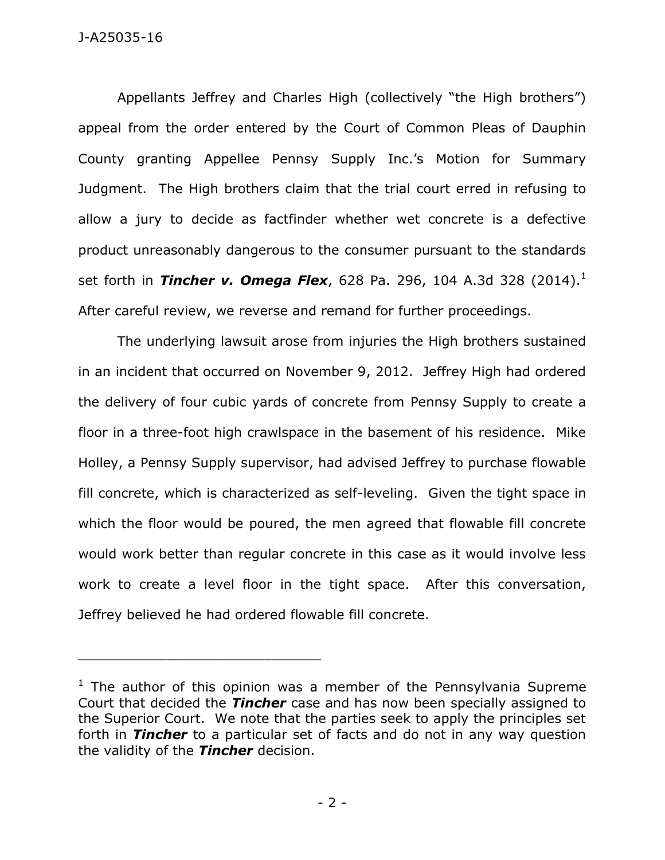Appellants Jeffrey and Charles High (collectively "the High brothers") appeal from the order entered by the Court of Common Pleas of Dauphin County granting Appellee Pennsy Supply Inc.'s Motion for Summary Judgment. The High brothers claim that the trial court erred in refusing to allow a jury to decide as factfinder whether wet concrete is a defective product unreasonably dangerous to the consumer pursuant to the standards set forth in *Tincher v. Omega Flex*, 628 Pa. 296, 104 A.3d 328 (2014).<sup>1</sup> After careful review, we reverse and remand for further proceedings.

The underlying lawsuit arose from injuries the High brothers sustained in an incident that occurred on November 9, 2012. Jeffrey High had ordered the delivery of four cubic yards of concrete from Pennsy Supply to create a floor in a three-foot high crawlspace in the basement of his residence. Mike Holley, a Pennsy Supply supervisor, had advised Jeffrey to purchase flowable fill concrete, which is characterized as self-leveling. Given the tight space in which the floor would be poured, the men agreed that flowable fill concrete would work better than regular concrete in this case as it would involve less work to create a level floor in the tight space. After this conversation, Jeffrey believed he had ordered flowable fill concrete.

\_\_\_\_\_\_\_\_\_\_\_\_\_\_\_\_\_\_\_\_\_\_\_\_\_\_\_\_\_\_\_\_\_\_\_\_\_\_\_\_\_\_\_\_

 $1$  The author of this opinion was a member of the Pennsylvania Supreme Court that decided the *Tincher* case and has now been specially assigned to the Superior Court. We note that the parties seek to apply the principles set forth in *Tincher* to a particular set of facts and do not in any way question the validity of the *Tincher* decision.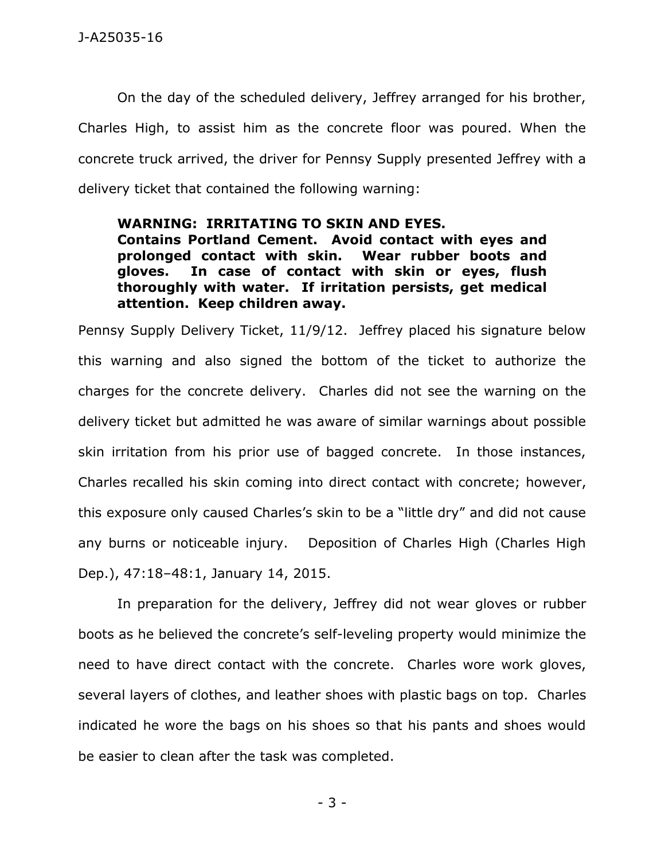On the day of the scheduled delivery, Jeffrey arranged for his brother, Charles High, to assist him as the concrete floor was poured. When the concrete truck arrived, the driver for Pennsy Supply presented Jeffrey with a delivery ticket that contained the following warning:

### **WARNING: IRRITATING TO SKIN AND EYES.**

**Contains Portland Cement. Avoid contact with eyes and prolonged contact with skin. Wear rubber boots and gloves. In case of contact with skin or eyes, flush thoroughly with water. If irritation persists, get medical attention. Keep children away.** 

Pennsy Supply Delivery Ticket, 11/9/12. Jeffrey placed his signature below this warning and also signed the bottom of the ticket to authorize the charges for the concrete delivery. Charles did not see the warning on the delivery ticket but admitted he was aware of similar warnings about possible skin irritation from his prior use of bagged concrete. In those instances, Charles recalled his skin coming into direct contact with concrete; however, this exposure only caused Charles's skin to be a "little dry" and did not cause any burns or noticeable injury. Deposition of Charles High (Charles High Dep.), 47:18–48:1, January 14, 2015.

In preparation for the delivery, Jeffrey did not wear gloves or rubber boots as he believed the concrete's self-leveling property would minimize the need to have direct contact with the concrete. Charles wore work gloves, several layers of clothes, and leather shoes with plastic bags on top. Charles indicated he wore the bags on his shoes so that his pants and shoes would be easier to clean after the task was completed.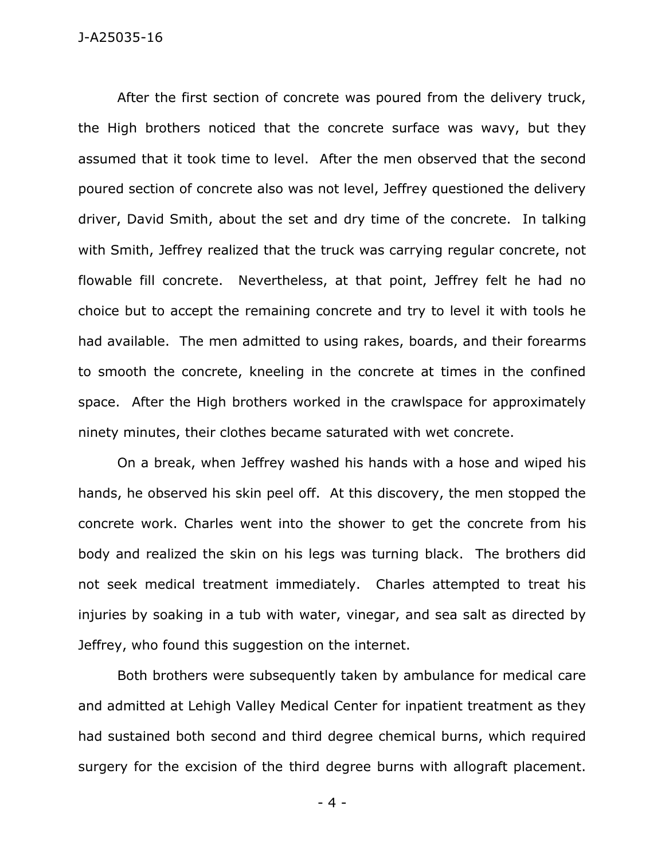After the first section of concrete was poured from the delivery truck, the High brothers noticed that the concrete surface was wavy, but they assumed that it took time to level. After the men observed that the second poured section of concrete also was not level, Jeffrey questioned the delivery driver, David Smith, about the set and dry time of the concrete. In talking with Smith, Jeffrey realized that the truck was carrying regular concrete, not flowable fill concrete. Nevertheless, at that point, Jeffrey felt he had no choice but to accept the remaining concrete and try to level it with tools he had available. The men admitted to using rakes, boards, and their forearms to smooth the concrete, kneeling in the concrete at times in the confined space. After the High brothers worked in the crawlspace for approximately ninety minutes, their clothes became saturated with wet concrete.

On a break, when Jeffrey washed his hands with a hose and wiped his hands, he observed his skin peel off. At this discovery, the men stopped the concrete work. Charles went into the shower to get the concrete from his body and realized the skin on his legs was turning black. The brothers did not seek medical treatment immediately. Charles attempted to treat his injuries by soaking in a tub with water, vinegar, and sea salt as directed by Jeffrey, who found this suggestion on the internet.

Both brothers were subsequently taken by ambulance for medical care and admitted at Lehigh Valley Medical Center for inpatient treatment as they had sustained both second and third degree chemical burns, which required surgery for the excision of the third degree burns with allograft placement.

- 4 -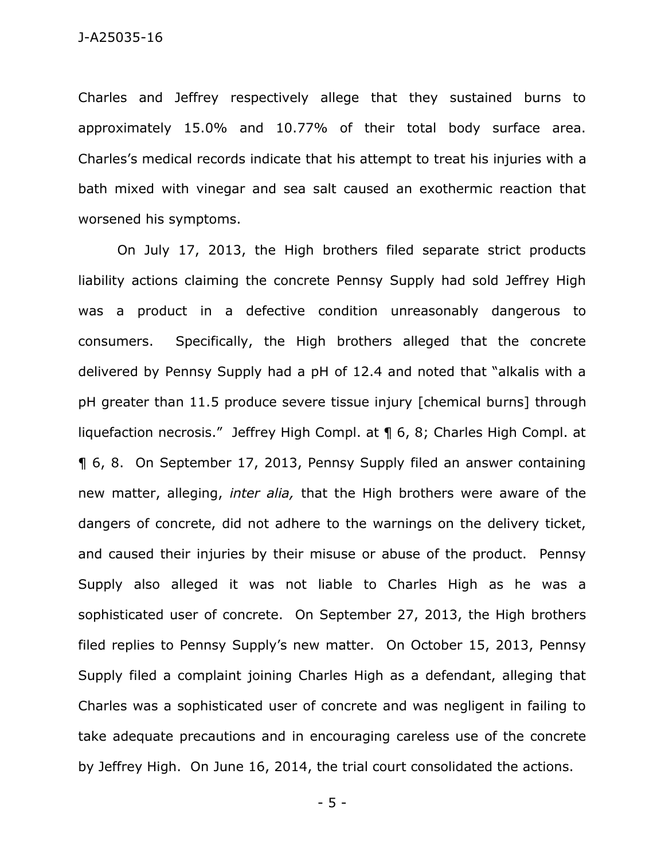Charles and Jeffrey respectively allege that they sustained burns to approximately 15.0% and 10.77% of their total body surface area. Charles's medical records indicate that his attempt to treat his injuries with a bath mixed with vinegar and sea salt caused an exothermic reaction that worsened his symptoms.

On July 17, 2013, the High brothers filed separate strict products liability actions claiming the concrete Pennsy Supply had sold Jeffrey High was a product in a defective condition unreasonably dangerous to consumers. Specifically, the High brothers alleged that the concrete delivered by Pennsy Supply had a pH of 12.4 and noted that "alkalis with a pH greater than 11.5 produce severe tissue injury [chemical burns] through liquefaction necrosis." Jeffrey High Compl. at ¶ 6, 8; Charles High Compl. at ¶ 6, 8. On September 17, 2013, Pennsy Supply filed an answer containing new matter, alleging, *inter alia,* that the High brothers were aware of the dangers of concrete, did not adhere to the warnings on the delivery ticket, and caused their injuries by their misuse or abuse of the product. Pennsy Supply also alleged it was not liable to Charles High as he was a sophisticated user of concrete. On September 27, 2013, the High brothers filed replies to Pennsy Supply's new matter. On October 15, 2013, Pennsy Supply filed a complaint joining Charles High as a defendant, alleging that Charles was a sophisticated user of concrete and was negligent in failing to take adequate precautions and in encouraging careless use of the concrete by Jeffrey High. On June 16, 2014, the trial court consolidated the actions.

- 5 -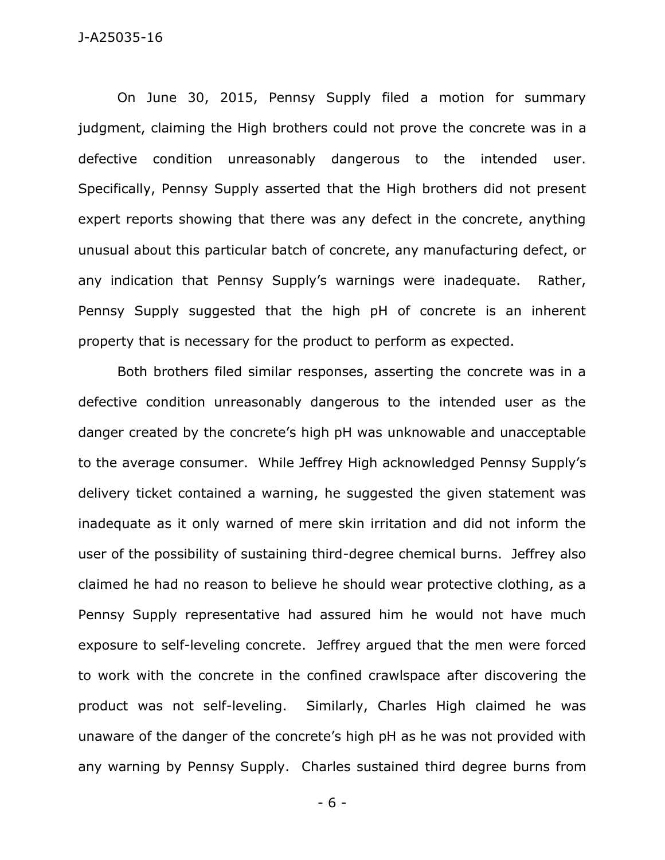#### J-A25035-16

On June 30, 2015, Pennsy Supply filed a motion for summary judgment, claiming the High brothers could not prove the concrete was in a defective condition unreasonably dangerous to the intended user. Specifically, Pennsy Supply asserted that the High brothers did not present expert reports showing that there was any defect in the concrete, anything unusual about this particular batch of concrete, any manufacturing defect, or any indication that Pennsy Supply's warnings were inadequate. Rather, Pennsy Supply suggested that the high pH of concrete is an inherent property that is necessary for the product to perform as expected.

Both brothers filed similar responses, asserting the concrete was in a defective condition unreasonably dangerous to the intended user as the danger created by the concrete's high pH was unknowable and unacceptable to the average consumer. While Jeffrey High acknowledged Pennsy Supply's delivery ticket contained a warning, he suggested the given statement was inadequate as it only warned of mere skin irritation and did not inform the user of the possibility of sustaining third-degree chemical burns. Jeffrey also claimed he had no reason to believe he should wear protective clothing, as a Pennsy Supply representative had assured him he would not have much exposure to self-leveling concrete. Jeffrey argued that the men were forced to work with the concrete in the confined crawlspace after discovering the product was not self-leveling. Similarly, Charles High claimed he was unaware of the danger of the concrete's high pH as he was not provided with any warning by Pennsy Supply. Charles sustained third degree burns from

- 6 -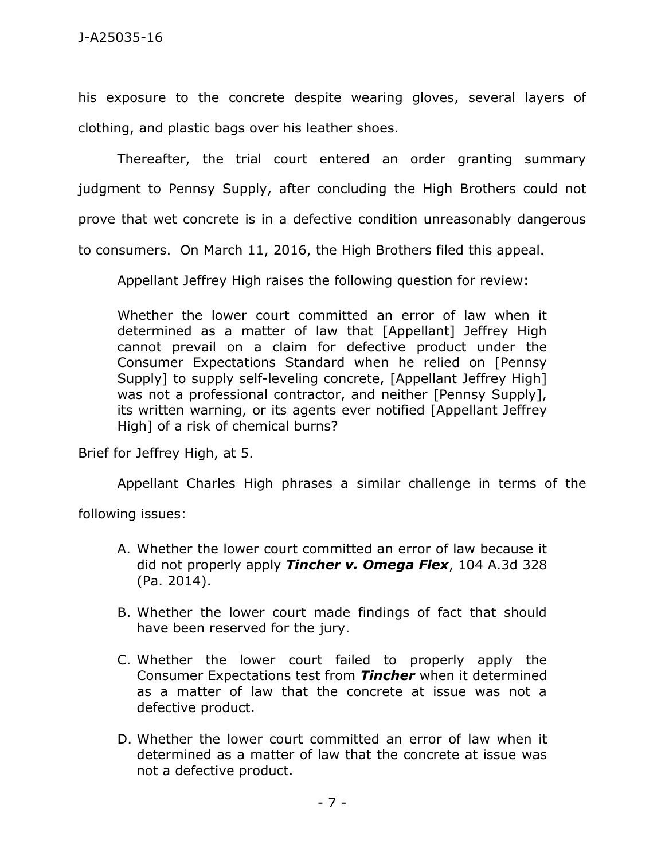his exposure to the concrete despite wearing gloves, several layers of clothing, and plastic bags over his leather shoes.

Thereafter, the trial court entered an order granting summary judgment to Pennsy Supply, after concluding the High Brothers could not prove that wet concrete is in a defective condition unreasonably dangerous to consumers. On March 11, 2016, the High Brothers filed this appeal.

Appellant Jeffrey High raises the following question for review:

Whether the lower court committed an error of law when it determined as a matter of law that [Appellant] Jeffrey High cannot prevail on a claim for defective product under the Consumer Expectations Standard when he relied on [Pennsy Supply] to supply self-leveling concrete, [Appellant Jeffrey High] was not a professional contractor, and neither [Pennsy Supply], its written warning, or its agents ever notified [Appellant Jeffrey High] of a risk of chemical burns?

Brief for Jeffrey High, at 5.

Appellant Charles High phrases a similar challenge in terms of the

following issues:

- A. Whether the lower court committed an error of law because it did not properly apply *Tincher v. Omega Flex*, 104 A.3d 328 (Pa. 2014).
- B. Whether the lower court made findings of fact that should have been reserved for the jury.
- C. Whether the lower court failed to properly apply the Consumer Expectations test from *Tincher* when it determined as a matter of law that the concrete at issue was not a defective product.
- D. Whether the lower court committed an error of law when it determined as a matter of law that the concrete at issue was not a defective product.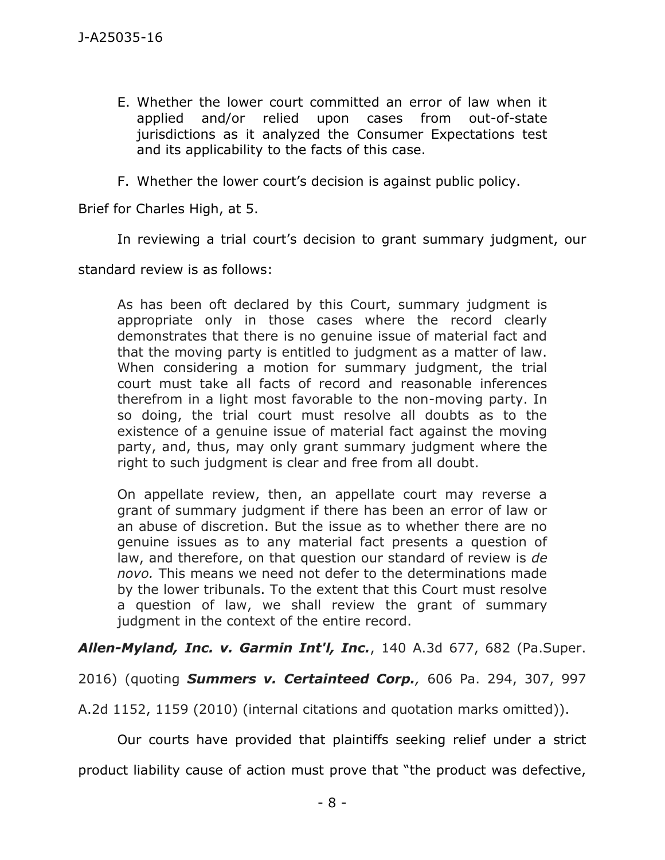- E. Whether the lower court committed an error of law when it applied and/or relied upon cases from out-of-state jurisdictions as it analyzed the Consumer Expectations test and its applicability to the facts of this case.
- F. Whether the lower court's decision is against public policy.

Brief for Charles High, at 5.

In reviewing a trial court's decision to grant summary judgment, our

standard review is as follows:

As has been oft declared by this Court, summary judgment is appropriate only in those cases where the record clearly demonstrates that there is no genuine issue of material fact and that the moving party is entitled to judgment as a matter of law. When considering a motion for summary judgment, the trial court must take all facts of record and reasonable inferences therefrom in a light most favorable to the non-moving party. In so doing, the trial court must resolve all doubts as to the existence of a genuine issue of material fact against the moving party, and, thus, may only grant summary judgment where the right to such judgment is clear and free from all doubt.

On appellate review, then, an appellate court may reverse a grant of summary judgment if there has been an error of law or an abuse of discretion. But the issue as to whether there are no genuine issues as to any material fact presents a question of law, and therefore, on that question our standard of review is *de novo.* This means we need not defer to the determinations made by the lower tribunals. To the extent that this Court must resolve a question of law, we shall review the grant of summary judgment in the context of the entire record.

*Allen-Myland, Inc. v. Garmin Int'l, Inc.*, 140 A.3d 677, 682 (Pa.Super.

2016) (quoting *Summers v. Certainteed Corp.,* 606 Pa. 294, 307, 997

A.2d 1152, 1159 (2010) (internal citations and quotation marks omitted)).

Our courts have provided that plaintiffs seeking relief under a strict product liability cause of action must prove that "the product was defective,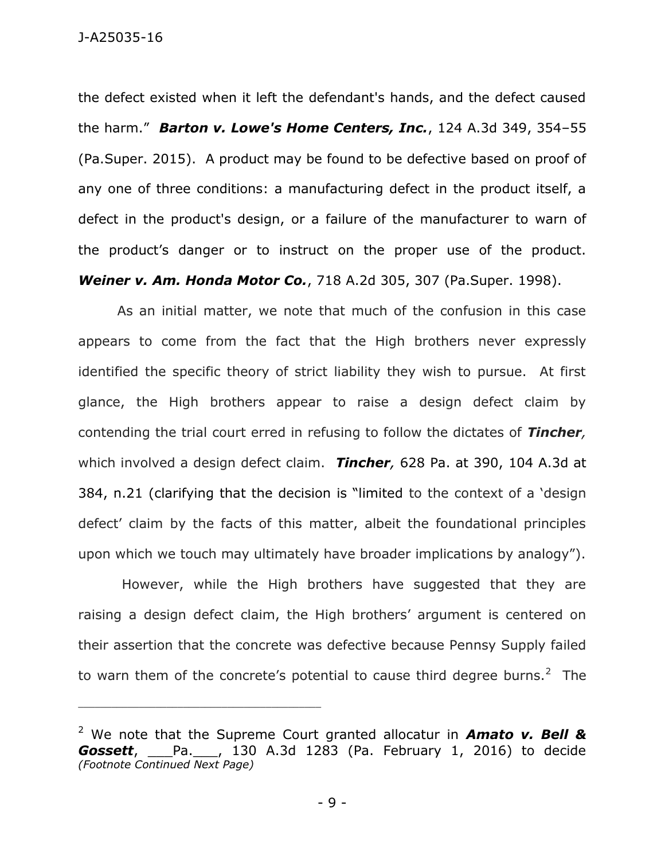the defect existed when it left the defendant's hands, and the defect caused the harm." *Barton v. Lowe's Home Centers, Inc.*, 124 A.3d 349, 354–55 (Pa.Super. 2015). A product may be found to be defective based on proof of any one of three conditions: a manufacturing defect in the product itself, a defect in the product's design, or a failure of the manufacturer to warn of the product's danger or to instruct on the proper use of the product. *Weiner v. Am. Honda Motor Co.*, 718 A.2d 305, 307 (Pa.Super. 1998).

As an initial matter, we note that much of the confusion in this case appears to come from the fact that the High brothers never expressly identified the specific theory of strict liability they wish to pursue. At first glance, the High brothers appear to raise a design defect claim by contending the trial court erred in refusing to follow the dictates of *Tincher,*  which involved a design defect claim. *Tincher,* 628 Pa. at 390, 104 A.3d at 384, n.21 (clarifying that the decision is "limited to the context of a 'design defect' claim by the facts of this matter, albeit the foundational principles upon which we touch may ultimately have broader implications by analogy").

However, while the High brothers have suggested that they are raising a design defect claim, the High brothers' argument is centered on their assertion that the concrete was defective because Pennsy Supply failed to warn them of the concrete's potential to cause third degree burns.<sup>2</sup> The

\_\_\_\_\_\_\_\_\_\_\_\_\_\_\_\_\_\_\_\_\_\_\_\_\_\_\_\_\_\_\_\_\_\_\_\_\_\_\_\_\_\_\_\_

<sup>2</sup> We note that the Supreme Court granted allocatur in *Amato v. Bell & Gossett*, \_\_\_Pa.\_\_\_, 130 A.3d 1283 (Pa. February 1, 2016) to decide *(Footnote Continued Next Page)*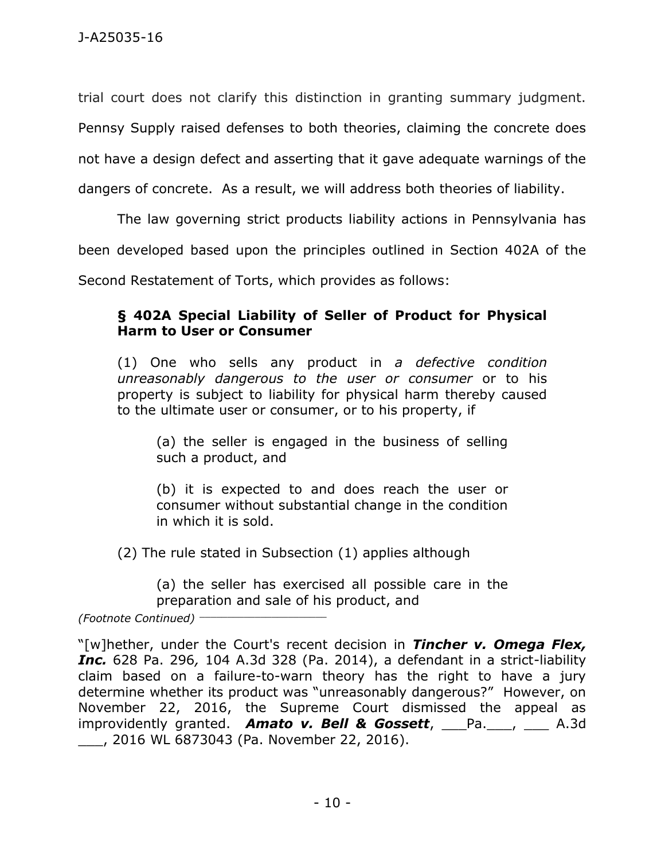trial court does not clarify this distinction in granting summary judgment.

Pennsy Supply raised defenses to both theories, claiming the concrete does

not have a design defect and asserting that it gave adequate warnings of the

dangers of concrete. As a result, we will address both theories of liability.

The law governing strict products liability actions in Pennsylvania has

been developed based upon the principles outlined in Section 402A of the

Second Restatement of Torts, which provides as follows:

# **§ 402A Special Liability of Seller of Product for Physical Harm to User or Consumer**

(1) One who sells any product in *a defective condition unreasonably dangerous to the user or consumer* or to his property is subject to liability for physical harm thereby caused to the ultimate user or consumer, or to his property, if

(a) the seller is engaged in the business of selling such a product, and

(b) it is expected to and does reach the user or consumer without substantial change in the condition in which it is sold.

(2) The rule stated in Subsection (1) applies although

(a) the seller has exercised all possible care in the preparation and sale of his product, and

*(Footnote Continued)* \_\_\_\_\_\_\_\_\_\_\_\_\_\_\_\_\_\_\_\_\_\_\_

"[w]hether, under the Court's recent decision in *Tincher v. Omega Flex, Inc.* 628 Pa. 296*,* 104 A.3d 328 (Pa. 2014), a defendant in a strict-liability claim based on a failure-to-warn theory has the right to have a jury determine whether its product was "unreasonably dangerous?" However, on November 22, 2016, the Supreme Court dismissed the appeal as improvidently granted. **Amato v. Bell & Gossett**, Pa. , A.3d \_\_\_, 2016 WL 6873043 (Pa. November 22, 2016).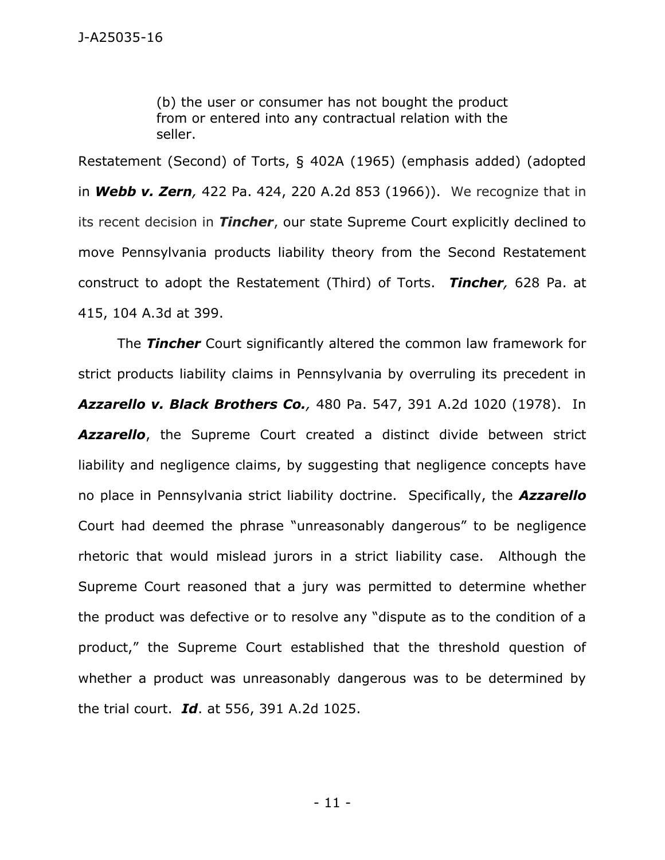(b) the user or consumer has not bought the product from or entered into any contractual relation with the seller.

Restatement (Second) of Torts, § 402A (1965) (emphasis added) (adopted in *Webb v. Zern,* 422 Pa. 424, 220 A.2d 853 (1966)). We recognize that in its recent decision in *Tincher*, our state Supreme Court explicitly declined to move Pennsylvania products liability theory from the Second Restatement construct to adopt the Restatement (Third) of Torts. *Tincher,* 628 Pa. at 415, 104 A.3d at 399.

The *Tincher* Court significantly altered the common law framework for strict products liability claims in Pennsylvania by overruling its precedent in *Azzarello v. Black Brothers Co.,* 480 Pa. 547, 391 A.2d 1020 (1978). In *Azzarello*, the Supreme Court created a distinct divide between strict liability and negligence claims, by suggesting that negligence concepts have no place in Pennsylvania strict liability doctrine. Specifically, the *Azzarello* Court had deemed the phrase "unreasonably dangerous" to be negligence rhetoric that would mislead jurors in a strict liability case. Although the Supreme Court reasoned that a jury was permitted to determine whether the product was defective or to resolve any "dispute as to the condition of a product," the Supreme Court established that the threshold question of whether a product was unreasonably dangerous was to be determined by the trial court. *Id*. at 556, 391 A.2d 1025.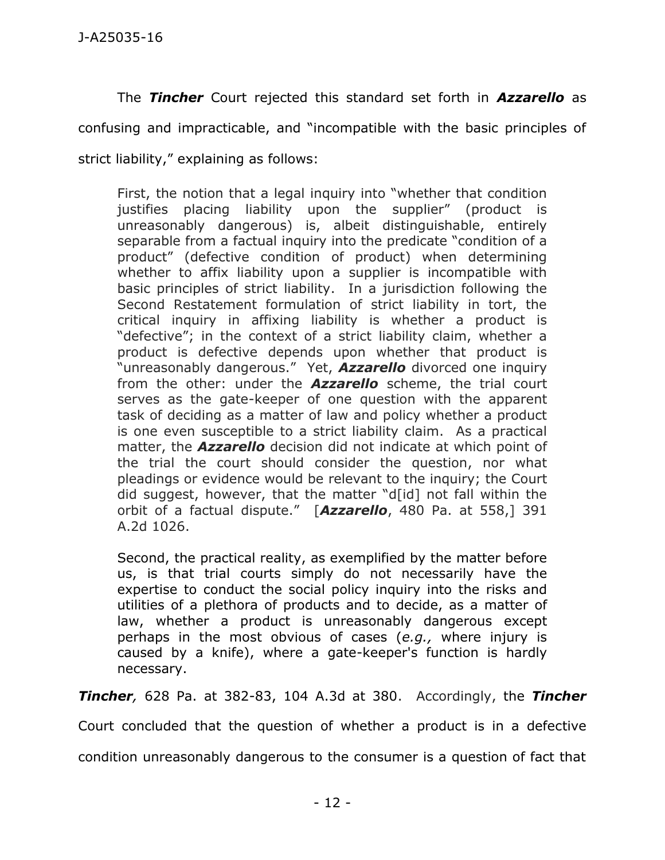The *Tincher* Court rejected this standard set forth in *Azzarello* as confusing and impracticable, and "incompatible with the basic principles of strict liability," explaining as follows:

First, the notion that a legal inquiry into "whether that condition justifies placing liability upon the supplier" (product is unreasonably dangerous) is, albeit distinguishable, entirely separable from a factual inquiry into the predicate "condition of a product" (defective condition of product) when determining whether to affix liability upon a supplier is incompatible with basic principles of strict liability. In a jurisdiction following the Second Restatement formulation of strict liability in tort, the critical inquiry in affixing liability is whether a product is "defective"; in the context of a strict liability claim, whether a product is defective depends upon whether that product is "unreasonably dangerous." Yet, *Azzarello* divorced one inquiry from the other: under the *Azzarello* scheme, the trial court serves as the gate-keeper of one question with the apparent task of deciding as a matter of law and policy whether a product is one even susceptible to a strict liability claim. As a practical matter, the *Azzarello* decision did not indicate at which point of the trial the court should consider the question, nor what pleadings or evidence would be relevant to the inquiry; the Court did suggest, however, that the matter "d[id] not fall within the orbit of a factual dispute." [*Azzarello*, 480 Pa. at 558,] 391 A.2d 1026.

Second, the practical reality, as exemplified by the matter before us, is that trial courts simply do not necessarily have the expertise to conduct the social policy inquiry into the risks and utilities of a plethora of products and to decide, as a matter of law, whether a product is unreasonably dangerous except perhaps in the most obvious of cases (*e.g.,* where injury is caused by a knife), where a gate-keeper's function is hardly necessary.

*Tincher,* 628 Pa. at 382-83, 104 A.3d at 380. Accordingly, the *Tincher*

Court concluded that the question of whether a product is in a defective

condition unreasonably dangerous to the consumer is a question of fact that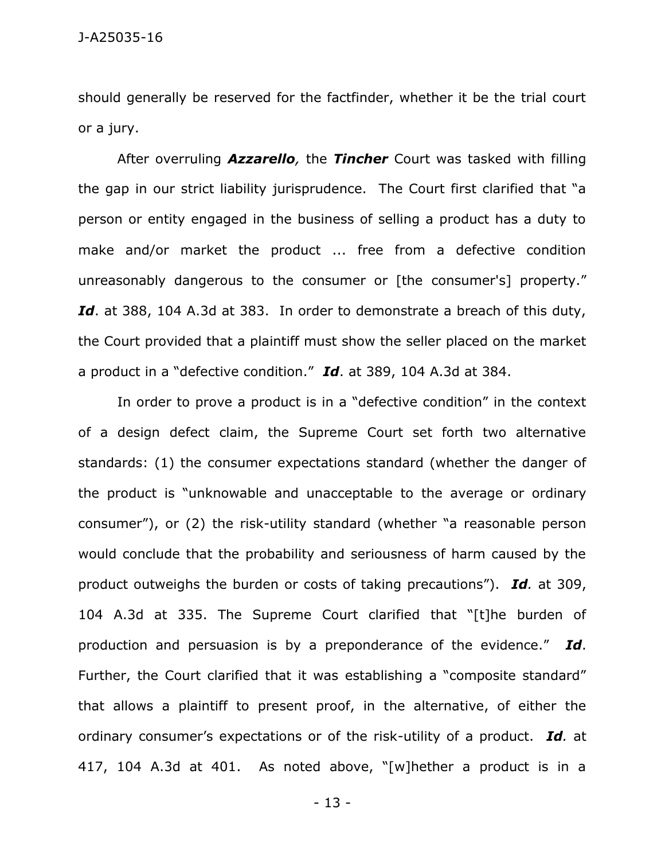should generally be reserved for the factfinder, whether it be the trial court or a jury.

After overruling *Azzarello,* the *Tincher* Court was tasked with filling the gap in our strict liability jurisprudence. The Court first clarified that "a person or entity engaged in the business of selling a product has a duty to make and/or market the product ... free from a defective condition unreasonably dangerous to the consumer or [the consumer's] property." Id. at 388, 104 A.3d at 383. In order to demonstrate a breach of this duty, the Court provided that a plaintiff must show the seller placed on the market a product in a "defective condition." *Id*. at 389, 104 A.3d at 384.

In order to prove a product is in a "defective condition" in the context of a design defect claim, the Supreme Court set forth two alternative standards: (1) the consumer expectations standard (whether the danger of the product is "unknowable and unacceptable to the average or ordinary consumer"), or (2) the risk-utility standard (whether "a reasonable person would conclude that the probability and seriousness of harm caused by the product outweighs the burden or costs of taking precautions"). *Id.* at 309, 104 A.3d at 335. The Supreme Court clarified that "[t]he burden of production and persuasion is by a preponderance of the evidence." *Id*. Further, the Court clarified that it was establishing a "composite standard" that allows a plaintiff to present proof, in the alternative, of either the ordinary consumer's expectations or of the risk-utility of a product. *Id.* at 417, 104 A.3d at 401. As noted above, "[w]hether a product is in a

- 13 -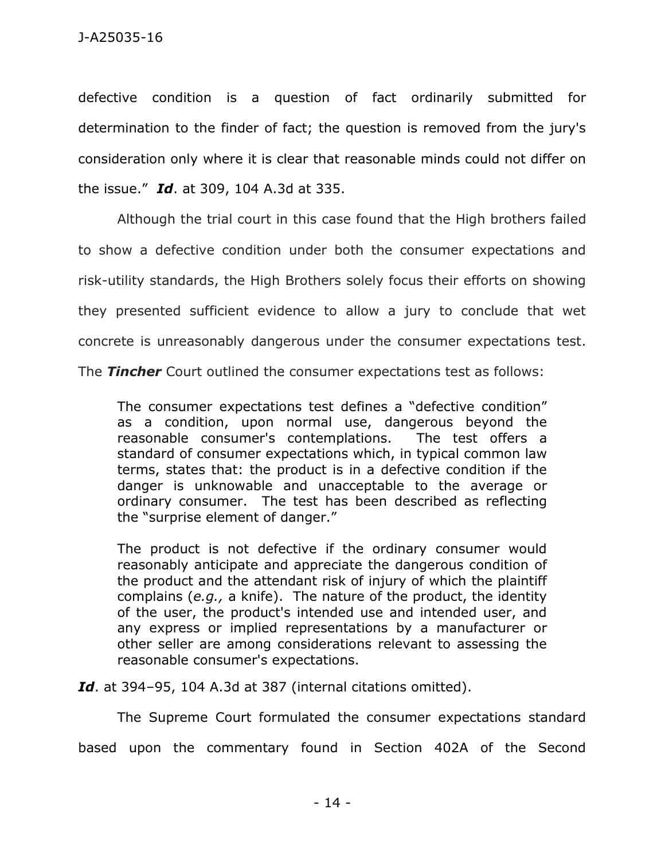defective condition is a question of fact ordinarily submitted for determination to the finder of fact; the question is removed from the jury's consideration only where it is clear that reasonable minds could not differ on the issue." *Id*. at 309, 104 A.3d at 335.

Although the trial court in this case found that the High brothers failed to show a defective condition under both the consumer expectations and risk-utility standards, the High Brothers solely focus their efforts on showing they presented sufficient evidence to allow a jury to conclude that wet concrete is unreasonably dangerous under the consumer expectations test.

The *Tincher* Court outlined the consumer expectations test as follows:

The consumer expectations test defines a "defective condition" as a condition, upon normal use, dangerous beyond the reasonable consumer's contemplations. The test offers a standard of consumer expectations which, in typical common law terms, states that: the product is in a defective condition if the danger is unknowable and unacceptable to the average or ordinary consumer. The test has been described as reflecting the "surprise element of danger."

The product is not defective if the ordinary consumer would reasonably anticipate and appreciate the dangerous condition of the product and the attendant risk of injury of which the plaintiff complains (*e.g.,* a knife). The nature of the product, the identity of the user, the product's intended use and intended user, and any express or implied representations by a manufacturer or other seller are among considerations relevant to assessing the reasonable consumer's expectations.

*Id*. at 394–95, 104 A.3d at 387 (internal citations omitted).

The Supreme Court formulated the consumer expectations standard based upon the commentary found in Section 402A of the Second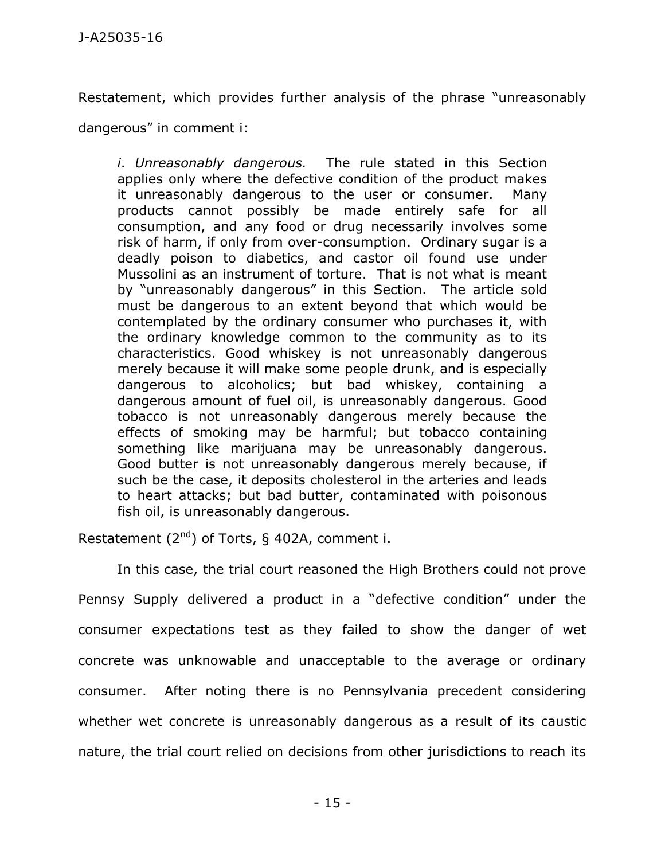Restatement, which provides further analysis of the phrase "unreasonably

dangerous" in comment i:

*i*. *Unreasonably dangerous.* The rule stated in this Section applies only where the defective condition of the product makes it unreasonably dangerous to the user or consumer. Many products cannot possibly be made entirely safe for all consumption, and any food or drug necessarily involves some risk of harm, if only from over-consumption. Ordinary sugar is a deadly poison to diabetics, and castor oil found use under Mussolini as an instrument of torture. That is not what is meant by "unreasonably dangerous" in this Section. The article sold must be dangerous to an extent beyond that which would be contemplated by the ordinary consumer who purchases it, with the ordinary knowledge common to the community as to its characteristics. Good whiskey is not unreasonably dangerous merely because it will make some people drunk, and is especially dangerous to alcoholics; but bad whiskey, containing a dangerous amount of fuel oil, is unreasonably dangerous. Good tobacco is not unreasonably dangerous merely because the effects of smoking may be harmful; but tobacco containing something like marijuana may be unreasonably dangerous. Good butter is not unreasonably dangerous merely because, if such be the case, it deposits cholesterol in the arteries and leads to heart attacks; but bad butter, contaminated with poisonous fish oil, is unreasonably dangerous.

Restatement  $(2^{nd})$  of Torts, § 402A, comment i.

In this case, the trial court reasoned the High Brothers could not prove Pennsy Supply delivered a product in a "defective condition" under the consumer expectations test as they failed to show the danger of wet concrete was unknowable and unacceptable to the average or ordinary consumer. After noting there is no Pennsylvania precedent considering whether wet concrete is unreasonably dangerous as a result of its caustic nature, the trial court relied on decisions from other jurisdictions to reach its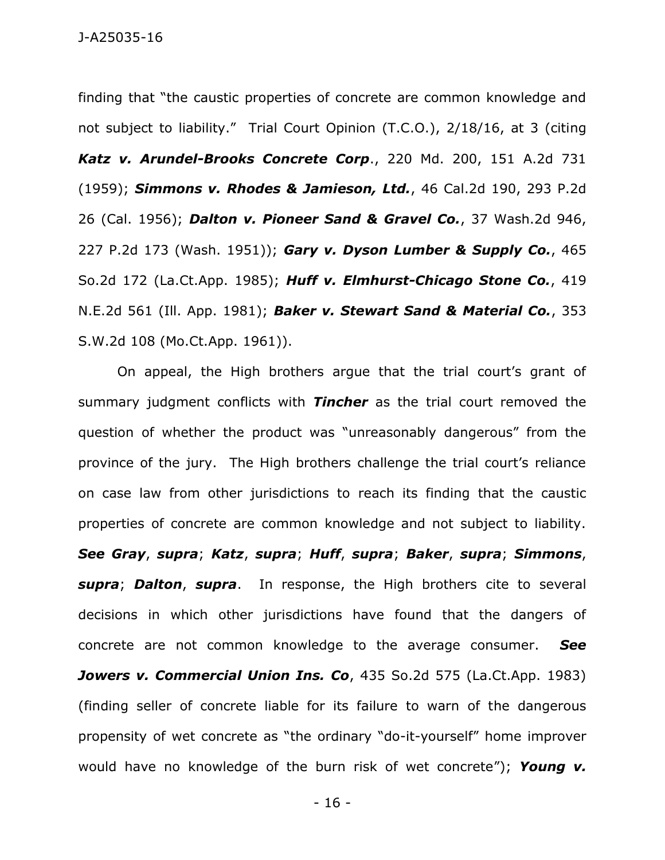finding that "the caustic properties of concrete are common knowledge and not subject to liability." Trial Court Opinion (T.C.O.), 2/18/16, at 3 (citing *Katz v. Arundel-Brooks Concrete Corp*., 220 Md. 200, 151 A.2d 731 (1959); *Simmons v. Rhodes & Jamieson, Ltd.*, 46 Cal.2d 190, 293 P.2d 26 (Cal. 1956); *Dalton v. Pioneer Sand & Gravel Co.*, 37 Wash.2d 946, 227 P.2d 173 (Wash. 1951)); *Gary v. Dyson Lumber & Supply Co.*, 465 So.2d 172 (La.Ct.App. 1985); *Huff v. Elmhurst-Chicago Stone Co.*, 419 N.E.2d 561 (Ill. App. 1981); *Baker v. Stewart Sand & Material Co.*, 353 S.W.2d 108 (Mo.Ct.App. 1961)).

On appeal, the High brothers argue that the trial court's grant of summary judgment conflicts with *Tincher* as the trial court removed the question of whether the product was "unreasonably dangerous" from the province of the jury. The High brothers challenge the trial court's reliance on case law from other jurisdictions to reach its finding that the caustic properties of concrete are common knowledge and not subject to liability. *See Gray*, *supra*; *Katz*, *supra*; *Huff*, *supra*; *Baker*, *supra*; *Simmons*, *supra*; *Dalton*, *supra*. In response, the High brothers cite to several decisions in which other jurisdictions have found that the dangers of concrete are not common knowledge to the average consumer. *See*  Jowers v. Commercial Union Ins. Co, 435 So.2d 575 (La.Ct.App. 1983) (finding seller of concrete liable for its failure to warn of the dangerous propensity of wet concrete as "the ordinary "do-it-yourself" home improver would have no knowledge of the burn risk of wet concrete"); *Young v.* 

- 16 -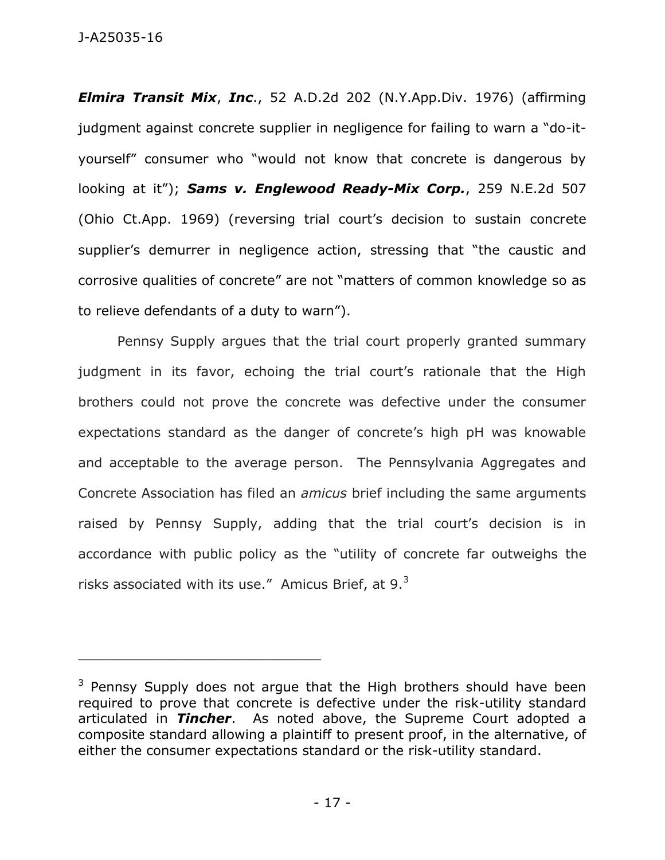J-A25035-16

*Elmira Transit Mix*, *Inc*., 52 A.D.2d 202 (N.Y.App.Div. 1976) (affirming judgment against concrete supplier in negligence for failing to warn a "do-ityourself" consumer who "would not know that concrete is dangerous by looking at it"); *Sams v. Englewood Ready-Mix Corp.*, 259 N.E.2d 507 (Ohio Ct.App. 1969) (reversing trial court's decision to sustain concrete supplier's demurrer in negligence action, stressing that "the caustic and corrosive qualities of concrete" are not "matters of common knowledge so as to relieve defendants of a duty to warn").

Pennsy Supply argues that the trial court properly granted summary judgment in its favor, echoing the trial court's rationale that the High brothers could not prove the concrete was defective under the consumer expectations standard as the danger of concrete's high pH was knowable and acceptable to the average person. The Pennsylvania Aggregates and Concrete Association has filed an *amicus* brief including the same arguments raised by Pennsy Supply, adding that the trial court's decision is in accordance with public policy as the "utility of concrete far outweighs the risks associated with its use." Amicus Brief, at  $9.^3$ 

\_\_\_\_\_\_\_\_\_\_\_\_\_\_\_\_\_\_\_\_\_\_\_\_\_\_\_\_\_\_\_\_\_\_\_\_\_\_\_\_\_\_\_\_

<sup>&</sup>lt;sup>3</sup> Pennsy Supply does not argue that the High brothers should have been required to prove that concrete is defective under the risk-utility standard articulated in *Tincher*. As noted above, the Supreme Court adopted a composite standard allowing a plaintiff to present proof, in the alternative, of either the consumer expectations standard or the risk-utility standard.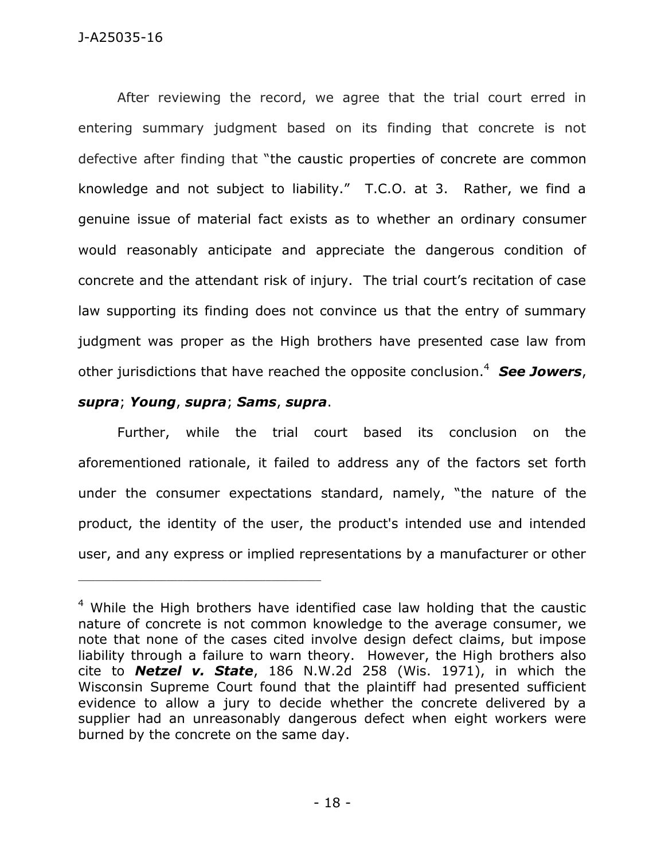After reviewing the record, we agree that the trial court erred in entering summary judgment based on its finding that concrete is not defective after finding that "the caustic properties of concrete are common knowledge and not subject to liability." T.C.O. at 3. Rather, we find a genuine issue of material fact exists as to whether an ordinary consumer would reasonably anticipate and appreciate the dangerous condition of concrete and the attendant risk of injury. The trial court's recitation of case law supporting its finding does not convince us that the entry of summary judgment was proper as the High brothers have presented case law from other jurisdictions that have reached the opposite conclusion.<sup>4</sup> *See Jowers*,

## *supra*; *Young*, *supra*; *Sams*, *supra*.

\_\_\_\_\_\_\_\_\_\_\_\_\_\_\_\_\_\_\_\_\_\_\_\_\_\_\_\_\_\_\_\_\_\_\_\_\_\_\_\_\_\_\_\_

Further, while the trial court based its conclusion on the aforementioned rationale, it failed to address any of the factors set forth under the consumer expectations standard, namely, "the nature of the product, the identity of the user, the product's intended use and intended user, and any express or implied representations by a manufacturer or other

<sup>&</sup>lt;sup>4</sup> While the High brothers have identified case law holding that the caustic nature of concrete is not common knowledge to the average consumer, we note that none of the cases cited involve design defect claims, but impose liability through a failure to warn theory. However, the High brothers also cite to *Netzel v. State*, 186 N.W.2d 258 (Wis. 1971), in which the Wisconsin Supreme Court found that the plaintiff had presented sufficient evidence to allow a jury to decide whether the concrete delivered by a supplier had an unreasonably dangerous defect when eight workers were burned by the concrete on the same day.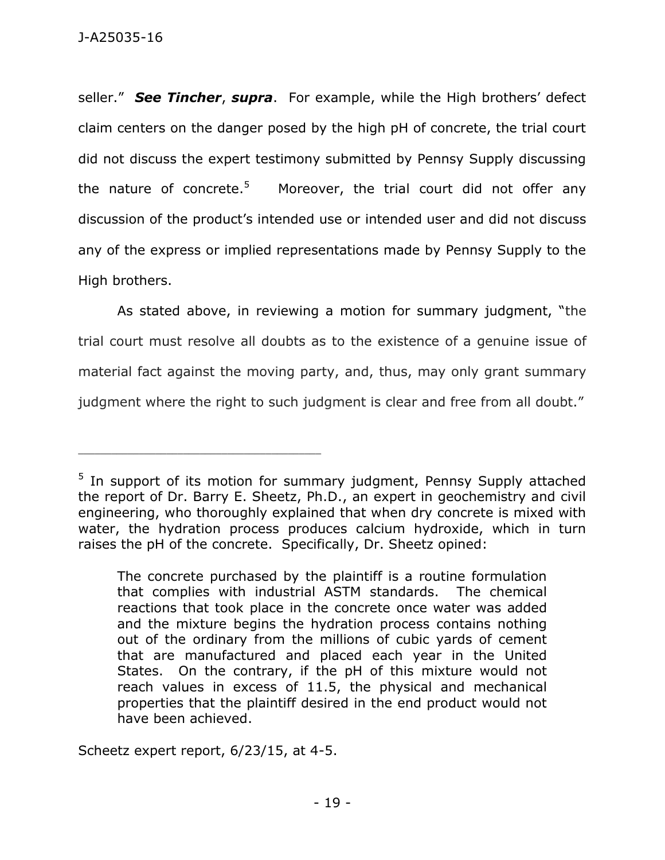seller." *See Tincher*, *supra*. For example, while the High brothers' defect claim centers on the danger posed by the high pH of concrete, the trial court did not discuss the expert testimony submitted by Pennsy Supply discussing the nature of concrete. $5$  Moreover, the trial court did not offer any discussion of the product's intended use or intended user and did not discuss any of the express or implied representations made by Pennsy Supply to the High brothers.

As stated above, in reviewing a motion for summary judgment, "the trial court must resolve all doubts as to the existence of a genuine issue of material fact against the moving party, and, thus, may only grant summary judgment where the right to such judgment is clear and free from all doubt."

Scheetz expert report, 6/23/15, at 4-5.

\_\_\_\_\_\_\_\_\_\_\_\_\_\_\_\_\_\_\_\_\_\_\_\_\_\_\_\_\_\_\_\_\_\_\_\_\_\_\_\_\_\_\_\_

<sup>&</sup>lt;sup>5</sup> In support of its motion for summary judgment, Pennsy Supply attached the report of Dr. Barry E. Sheetz, Ph.D., an expert in geochemistry and civil engineering, who thoroughly explained that when dry concrete is mixed with water, the hydration process produces calcium hydroxide, which in turn raises the pH of the concrete. Specifically, Dr. Sheetz opined:

The concrete purchased by the plaintiff is a routine formulation that complies with industrial ASTM standards. The chemical reactions that took place in the concrete once water was added and the mixture begins the hydration process contains nothing out of the ordinary from the millions of cubic yards of cement that are manufactured and placed each year in the United States. On the contrary, if the pH of this mixture would not reach values in excess of 11.5, the physical and mechanical properties that the plaintiff desired in the end product would not have been achieved.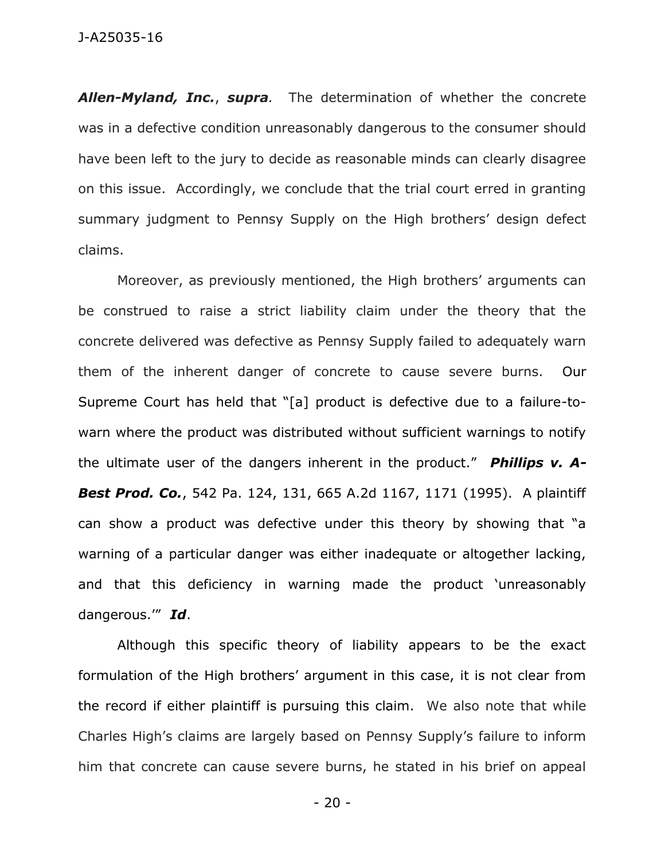### J-A25035-16

*Allen-Myland, Inc.*, *supra.*The determination of whether the concrete was in a defective condition unreasonably dangerous to the consumer should have been left to the jury to decide as reasonable minds can clearly disagree on this issue. Accordingly, we conclude that the trial court erred in granting summary judgment to Pennsy Supply on the High brothers' design defect claims.

Moreover, as previously mentioned, the High brothers' arguments can be construed to raise a strict liability claim under the theory that the concrete delivered was defective as Pennsy Supply failed to adequately warn them of the inherent danger of concrete to cause severe burns. Our Supreme Court has held that "[a] product is defective due to a failure-towarn where the product was distributed without sufficient warnings to notify the ultimate user of the dangers inherent in the product." *Phillips v. A-Best Prod. Co.*, 542 Pa. 124, 131, 665 A.2d 1167, 1171 (1995). A plaintiff can show a product was defective under this theory by showing that "a warning of a particular danger was either inadequate or altogether lacking, and that this deficiency in warning made the product 'unreasonably dangerous.'" *Id*.

Although this specific theory of liability appears to be the exact formulation of the High brothers' argument in this case, it is not clear from the record if either plaintiff is pursuing this claim. We also note that while Charles High's claims are largely based on Pennsy Supply's failure to inform him that concrete can cause severe burns, he stated in his brief on appeal

- 20 -